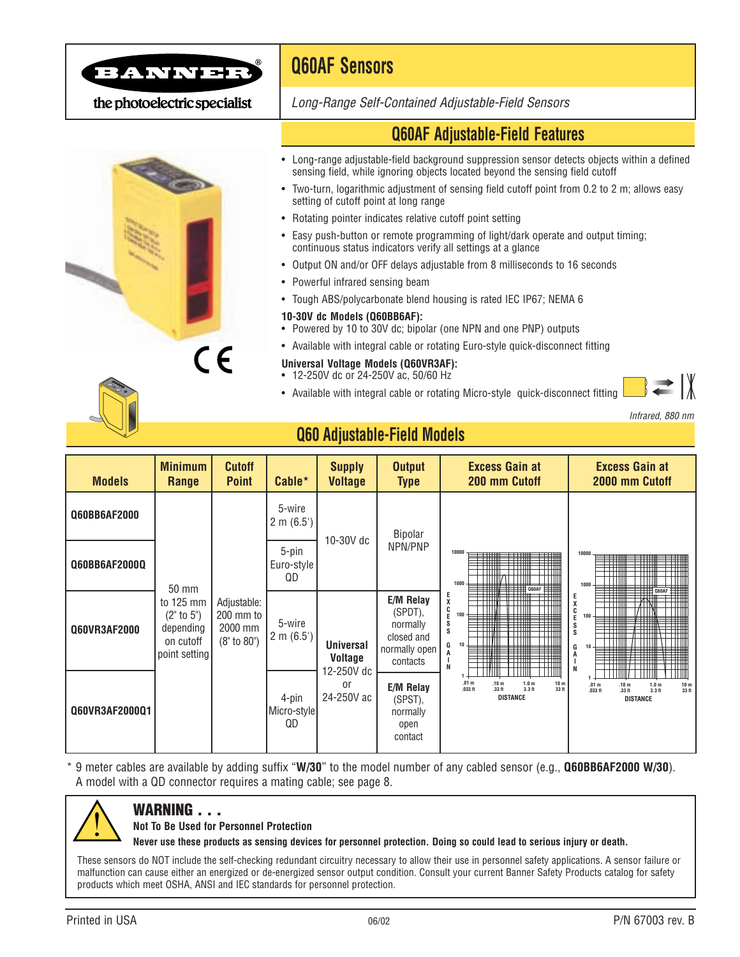

the photoelectric specialist



# **Q60AF Sensors**

*Long-Range Self-Contained Adjustable-Field Sensors*

## **Q60AF Adjustable-Field Features**

- Long-range adjustable-field background suppression sensor detects objects within a defined sensing field, while ignoring objects located beyond the sensing field cutoff
- Two-turn, logarithmic adjustment of sensing field cutoff point from 0.2 to 2 m; allows easy setting of cutoff point at long range
- Rotating pointer indicates relative cutoff point setting
- Easy push-button or remote programming of light/dark operate and output timing; continuous status indicators verify all settings at a glance
- Output ON and/or OFF delays adjustable from 8 milliseconds to 16 seconds
- Powerful infrared sensing beam
- Tough ABS/polycarbonate blend housing is rated IEC IP67; NEMA 6

#### **10-30V dc Models (Q60BB6AF):**

- Powered by 10 to 30V dc; bipolar (one NPN and one PNP) outputs
- Available with integral cable or rotating Euro-style quick-disconnect fitting

#### **Universal Voltage Models (Q60VR3AF):**

- 12-250V dc or 24-250V ac, 50/60 Hz
- Available with integral cable or rotating Micro-style quick-disconnect fitting

*Infrared, 880 nm*



## **Q60 Adjustable-Field Models**

| <b>Models</b>        | <b>Minimum</b><br>Range                                                     | <b>Cutoff</b><br><b>Point</b>                          | Cable*                          | <b>Supply</b><br><b>Voltage</b>                                                              | <b>Output</b><br><b>Type</b>                                                | <b>Excess Gain at</b><br>200 mm Cutoff                                                                                                                                                                                                                                                                      | <b>Excess Gain at</b><br>2000 mm Cutoff                                                                                                                         |  |
|----------------------|-----------------------------------------------------------------------------|--------------------------------------------------------|---------------------------------|----------------------------------------------------------------------------------------------|-----------------------------------------------------------------------------|-------------------------------------------------------------------------------------------------------------------------------------------------------------------------------------------------------------------------------------------------------------------------------------------------------------|-----------------------------------------------------------------------------------------------------------------------------------------------------------------|--|
| Q60BB6AF2000         | 50 mm<br>to 125 mm<br>(2" to 5")<br>depending<br>on cutoff<br>point setting | Adjustable:<br>200 mm to<br>2000 mm<br>$(8"$ to $80")$ | 5-wire<br>$2 \text{ m } (6.5')$ | 10-30V dc<br><b>Universal</b><br><b>Voltage</b><br>12-250V dc<br><sub>0r</sub><br>24-250V ac | Bipolar<br>NPN/PNP                                                          | 10000<br>╤╪╪╪<br>1000<br><b>Q60AF</b><br>$_{\rm X}^{\rm E}$<br>$_{\rm E}^{\rm C}$<br>100<br>$\overset{\mathtt{S}}{\mathtt{s}}$<br>10<br>G<br>$\top$ $\top$<br>N<br>.01 <sub>m</sub><br>.10 <sub>m</sub><br>1.0 <sub>m</sub><br>10 <sub>m</sub><br>$3.3$ ft<br>.033 ft<br>.33 ft<br>33 ft<br><b>DISTANCE</b> |                                                                                                                                                                 |  |
| <b>Q60BB6AF2000Q</b> |                                                                             |                                                        | 5-pin<br>Euro-style<br>QD       |                                                                                              |                                                                             |                                                                                                                                                                                                                                                                                                             | 10000<br>₩<br>────────<br>TH 11<br>1000<br>: Q60AF                                                                                                              |  |
| Q60VR3AF2000         |                                                                             |                                                        | 5-wire<br>$2 \text{ m } (6.5')$ |                                                                                              | E/M Relay<br>(SPDT),<br>normally<br>closed and<br>normally open<br>contacts |                                                                                                                                                                                                                                                                                                             | Ε<br>7 I I NI<br>---<br>C<br>E<br>100<br>S<br>$\overline{\mathbf{s}}$<br>┯╈<br>10.<br>G<br>N                                                                    |  |
| Q60VR3AF2000Q1       |                                                                             |                                                        | 4-pin<br>Micro-style<br>QD      |                                                                                              | <b>E/M Relay</b><br>(SPST),<br>normally<br>open<br>contact                  |                                                                                                                                                                                                                                                                                                             | .01 <sub>m</sub><br>.10 <sub>m</sub><br>$\frac{10 \text{ m}}{33 \text{ ft}}$<br>1.0 <sub>m</sub><br>.033 <sub>ft</sub><br>.33 ft<br>$3.3$ ft<br><b>DISTANCE</b> |  |

\* 9 meter cables are available by adding suffix "**W/30**" to the model number of any cabled sensor (e.g., **Q60BB6AF2000 W/30**). A model with a QD connector requires a mating cable; see page 8.



## **WARNING . . .**

#### **Not To Be Used for Personnel Protection**

**Never use these products as sensing devices for personnel protection. Doing so could lead to serious injury or death.**

These sensors do NOT include the self-checking redundant circuitry necessary to allow their use in personnel safety applications. A sensor failure or malfunction can cause either an energized or de-energized sensor output condition. Consult your current Banner Safety Products catalog for safety products which meet OSHA, ANSI and IEC standards for personnel protection.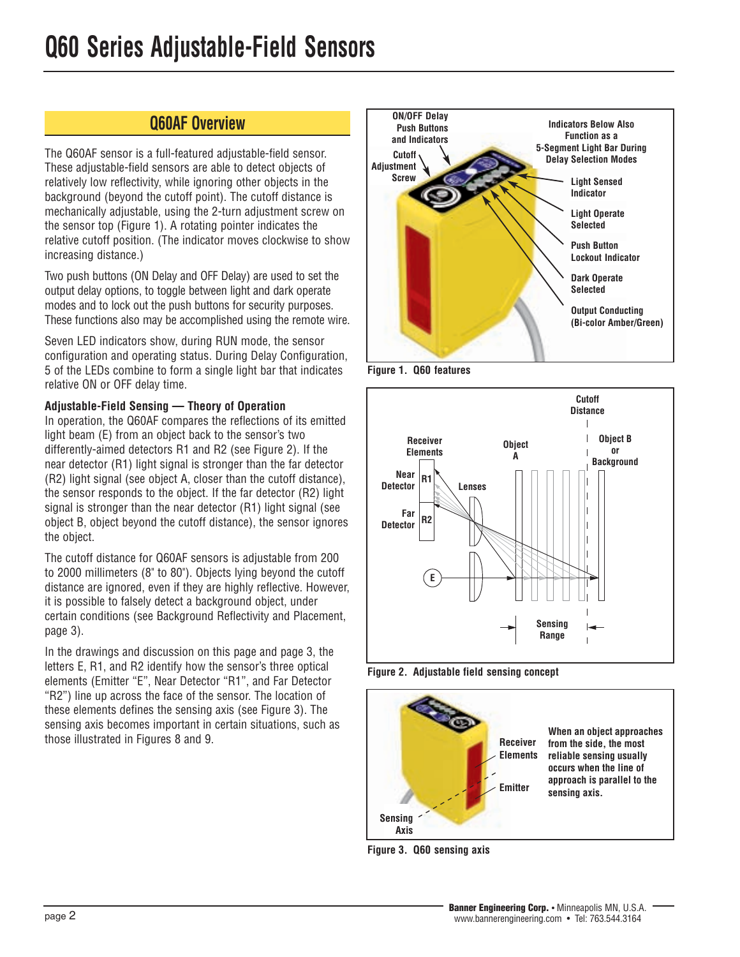## **Q60AF Overview**

The Q60AF sensor is a full-featured adjustable-field sensor. These adjustable-field sensors are able to detect objects of relatively low reflectivity, while ignoring other objects in the background (beyond the cutoff point). The cutoff distance is mechanically adjustable, using the 2-turn adjustment screw on the sensor top (Figure 1). A rotating pointer indicates the relative cutoff position. (The indicator moves clockwise to show increasing distance.)

Two push buttons (ON Delay and OFF Delay) are used to set the output delay options, to toggle between light and dark operate modes and to lock out the push buttons for security purposes. These functions also may be accomplished using the remote wire.

Seven LED indicators show, during RUN mode, the sensor configuration and operating status. During Delay Configuration, 5 of the LEDs combine to form a single light bar that indicates relative ON or OFF delay time.

### **Adjustable-Field Sensing — Theory of Operation**

In operation, the Q60AF compares the reflections of its emitted light beam (E) from an object back to the sensor's two differently-aimed detectors R1 and R2 (see Figure 2). If the near detector (R1) light signal is stronger than the far detector (R2) light signal (see object A, closer than the cutoff distance), the sensor responds to the object. If the far detector (R2) light signal is stronger than the near detector (R1) light signal (see object B, object beyond the cutoff distance), the sensor ignores the object.

The cutoff distance for Q60AF sensors is adjustable from 200 to 2000 millimeters (8" to 80"). Objects lying beyond the cutoff distance are ignored, even if they are highly reflective. However, it is possible to falsely detect a background object, under certain conditions (see Background Reflectivity and Placement, page 3).

In the drawings and discussion on this page and page 3, the letters E, R1, and R2 identify how the sensor's three optical elements (Emitter "E", Near Detector "R1", and Far Detector "R2") line up across the face of the sensor. The location of these elements defines the sensing axis (see Figure 3). The sensing axis becomes important in certain situations, such as those illustrated in Figures 8 and 9.



**Figure 1. Q60 features**



**Figure 2. Adjustable field sensing concept**



**Figure 3. Q60 sensing axis**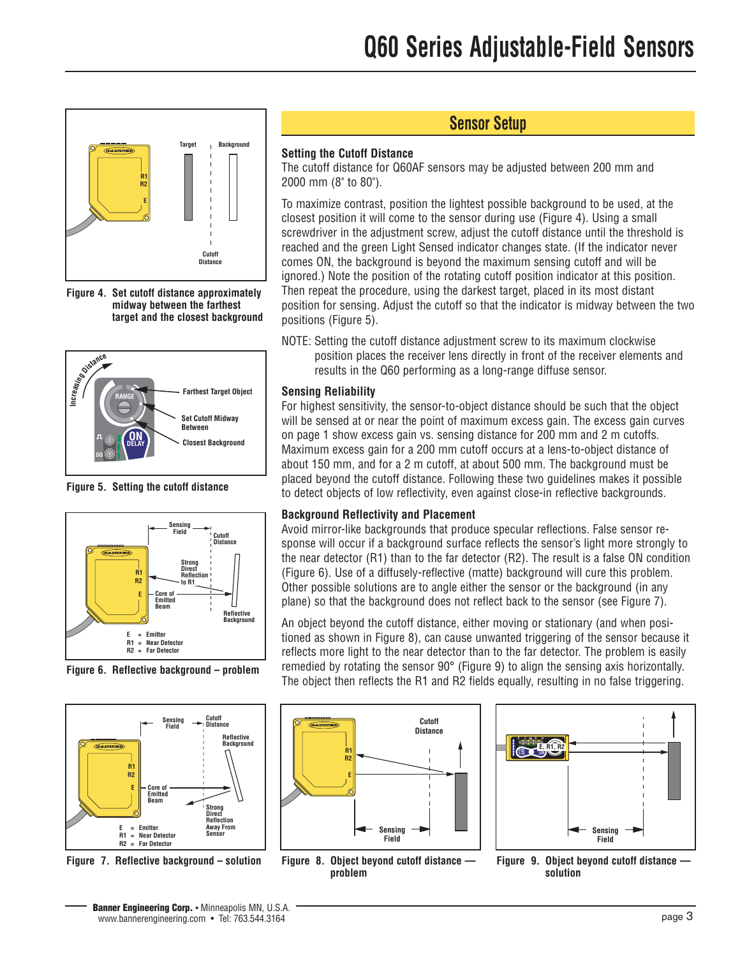

**Figure 4. Set cutoff distance approximately midway between the farthest target and the closest background**



**Figure 5. Setting the cutoff distance**



**Figure 6. Reflective background – problem**



**Figure 7. Reflective background – solution**

## **Sensor Setup**

### **Setting the Cutoff Distance**

The cutoff distance for Q60AF sensors may be adjusted between 200 mm and 2000 mm (8" to 80").

To maximize contrast, position the lightest possible background to be used, at the closest position it will come to the sensor during use (Figure 4). Using a small screwdriver in the adjustment screw, adjust the cutoff distance until the threshold is reached and the green Light Sensed indicator changes state. (If the indicator never comes ON, the background is beyond the maximum sensing cutoff and will be ignored.) Note the position of the rotating cutoff position indicator at this position. Then repeat the procedure, using the darkest target, placed in its most distant position for sensing. Adjust the cutoff so that the indicator is midway between the two positions (Figure 5).

NOTE: Setting the cutoff distance adjustment screw to its maximum clockwise position places the receiver lens directly in front of the receiver elements and results in the Q60 performing as a long-range diffuse sensor.

### **Sensing Reliability**

For highest sensitivity, the sensor-to-object distance should be such that the object will be sensed at or near the point of maximum excess gain. The excess gain curves on page 1 show excess gain vs. sensing distance for 200 mm and 2 m cutoffs. Maximum excess gain for a 200 mm cutoff occurs at a lens-to-object distance of about 150 mm, and for a 2 m cutoff, at about 500 mm. The background must be placed beyond the cutoff distance. Following these two guidelines makes it possible to detect objects of low reflectivity, even against close-in reflective backgrounds.

#### **Background Reflectivity and Placement**

Avoid mirror-like backgrounds that produce specular reflections. False sensor response will occur if a background surface reflects the sensor's light more strongly to the near detector (R1) than to the far detector (R2). The result is a false ON condition (Figure 6). Use of a diffusely-reflective (matte) background will cure this problem. Other possible solutions are to angle either the sensor or the background (in any plane) so that the background does not reflect back to the sensor (see Figure 7).

An object beyond the cutoff distance, either moving or stationary (and when positioned as shown in Figure 8), can cause unwanted triggering of the sensor because it reflects more light to the near detector than to the far detector. The problem is easily remedied by rotating the sensor 90° (Figure 9) to align the sensing axis horizontally. The object then reflects the R1 and R2 fields equally, resulting in no false triggering.



**Sensing Field DELAY OFF DELAY ON SIG LO DO RANGE E, R1, R2**

**Figure 8. Object beyond cutoff distance problem**

**Figure 9. Object beyond cutoff distance solution**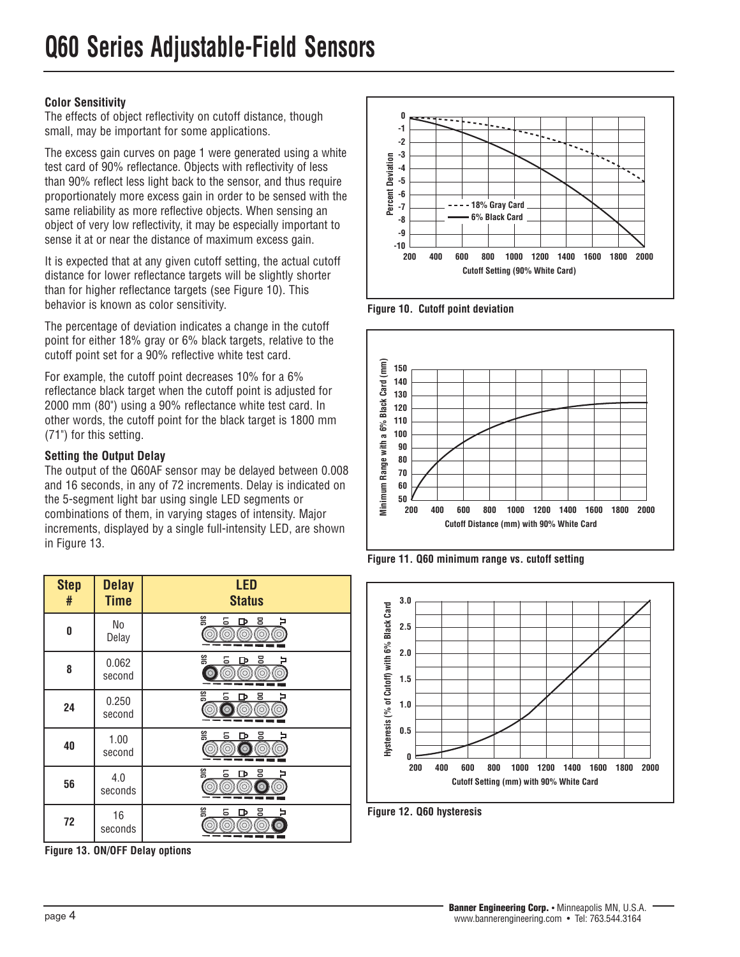### **Color Sensitivity**

The effects of object reflectivity on cutoff distance, though small, may be important for some applications.

The excess gain curves on page 1 were generated using a white test card of 90% reflectance. Objects with reflectivity of less than 90% reflect less light back to the sensor, and thus require proportionately more excess gain in order to be sensed with the same reliability as more reflective objects. When sensing an object of very low reflectivity, it may be especially important to sense it at or near the distance of maximum excess gain.

It is expected that at any given cutoff setting, the actual cutoff distance for lower reflectance targets will be slightly shorter than for higher reflectance targets (see Figure 10). This behavior is known as color sensitivity.

The percentage of deviation indicates a change in the cutoff point for either 18% gray or 6% black targets, relative to the cutoff point set for a 90% reflective white test card.

For example, the cutoff point decreases 10% for a 6% reflectance black target when the cutoff point is adjusted for 2000 mm (80") using a 90% reflectance white test card. In other words, the cutoff point for the black target is 1800 mm (71") for this setting.

### **Setting the Output Delay**

The output of the Q60AF sensor may be delayed between 0.008 and 16 seconds, in any of 72 increments. Delay is indicated on the 5-segment light bar using single LED segments or combinations of them, in varying stages of intensity. Major increments, displayed by a single full-intensity LED, are shown in Figure 13.

| <b>Step</b><br># | <b>Delay</b><br><b>Time</b> | <b>LED</b><br><b>Status</b>                          |
|------------------|-----------------------------|------------------------------------------------------|
| 0                | No<br>Delay                 | SIG<br>5<br><u>ខ</u><br>D<br>ō                       |
| 8                | 0.062<br>second             | SIG<br>3<br>5<br>ው<br>(O)<br>$\odot$<br>∂<br>О.<br>Ö |
| 24               | 0.250<br>second             | SIG<br>ᄝ<br>5<br>гъ<br>∂<br>്റ്<br>$\Omega$          |
| 40               | 1.00<br>second              | SiG<br>ᄝ<br>5<br>D<br>õ<br>∩                         |
| 56               | 4.0<br>seconds              | ទីទេ<br>ᄝ<br><u>5</u><br>Ф<br>(ර)<br>ര<br>0<br>⌒     |
| 72               | 16<br>seconds               | SIG<br>5<br>8<br>D                                   |

**Figure 13. ON/OFF Delay options**



**Figure 10. Cutoff point deviation**



**Figure 11. Q60 minimum range vs. cutoff setting**



**Figure 12. Q60 hysteresis**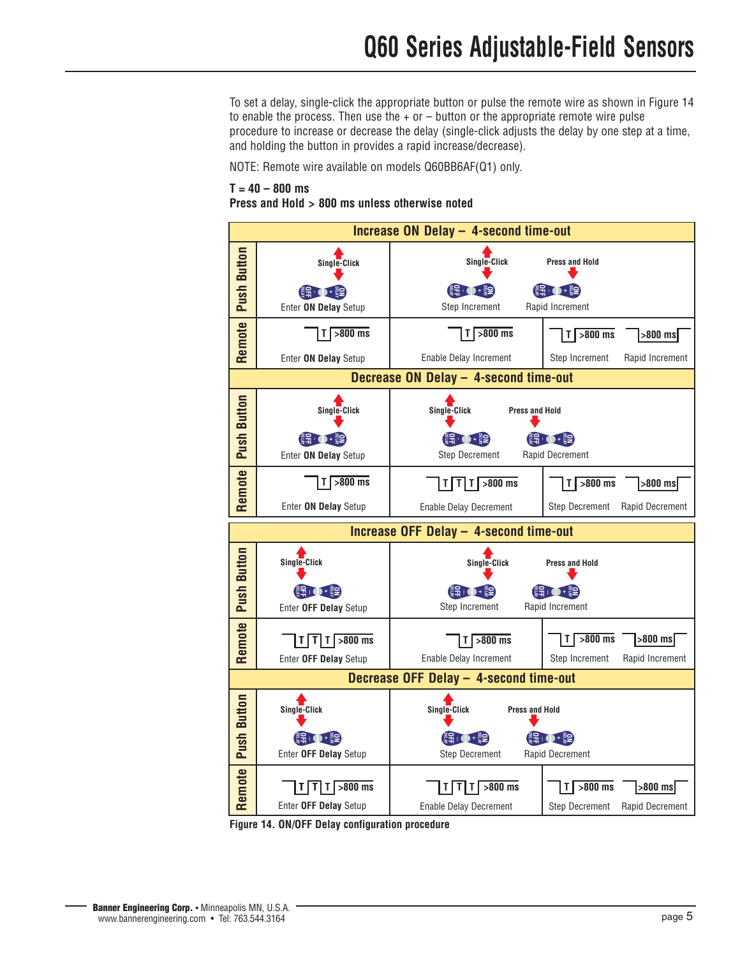To set a delay, single-click the appropriate button or pulse the remote wire as shown in Figure 14 to enable the process. Then use the  $+$  or  $-$  button or the appropriate remote wire pulse procedure to increase or decrease the delay (single-click adjusts the delay by one step at a time, and holding the button in provides a rapid increase/decrease).

NOTE: Remote wire available on models Q60BB6AF(Q1) only.

#### **T = 40 – 800 ms**

**Press and Hold > 800 ms unless otherwise noted**



**Figure 14. ON/OFF Delay configuration procedure**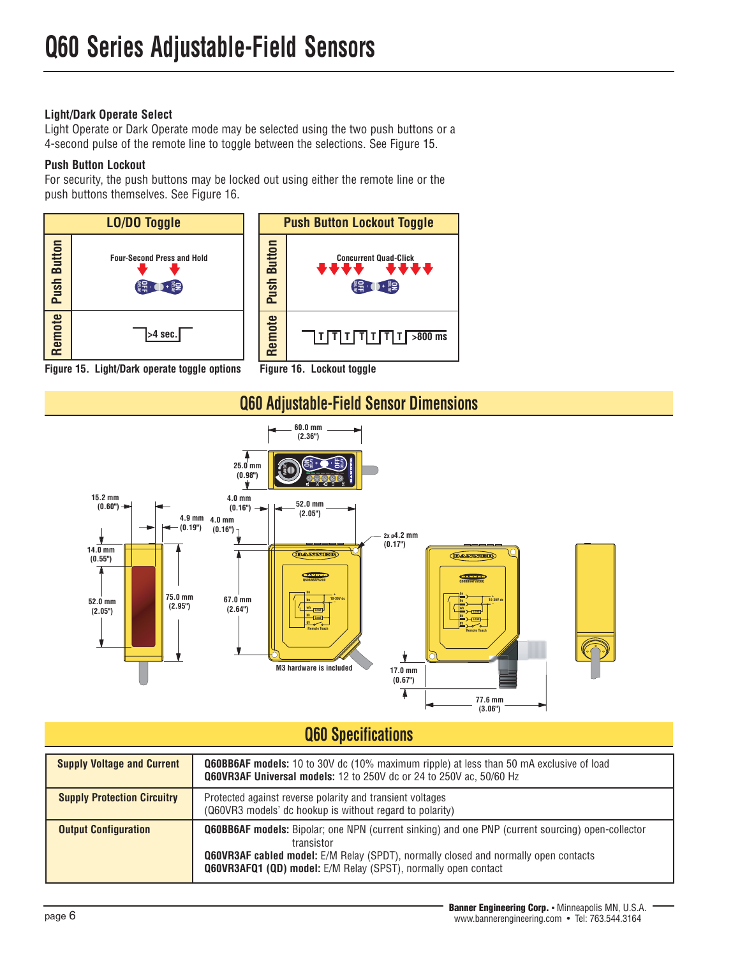### **Light/Dark Operate Select**

Light Operate or Dark Operate mode may be selected using the two push buttons or a 4-second pulse of the remote line to toggle between the selections. See Figure 15.

## **Push Button Lockout**

For security, the push buttons may be locked out using either the remote line or the push buttons themselves. See Figure 16.









## **Q60 Specifications**

| <b>Supply Voltage and Current</b>  | <b>Q60BB6AF models:</b> 10 to 30V dc (10% maximum ripple) at less than 50 mA exclusive of load<br>Q60VR3AF Universal models: 12 to 250V dc or 24 to 250V ac, 50/60 Hz                                                                                                                         |
|------------------------------------|-----------------------------------------------------------------------------------------------------------------------------------------------------------------------------------------------------------------------------------------------------------------------------------------------|
| <b>Supply Protection Circuitry</b> | Protected against reverse polarity and transient voltages<br>(Q60VR3 models' dc hookup is without regard to polarity)                                                                                                                                                                         |
| <b>Output Configuration</b>        | <b>Q60BB6AF models:</b> Bipolar; one NPN (current sinking) and one PNP (current sourcing) open-collector<br>transistor<br><b>Q60VR3AF cabled model:</b> E/M Relay (SPDT), normally closed and normally open contacts<br><b>Q60VR3AFQ1 (QD) model:</b> E/M Relay (SPST), normally open contact |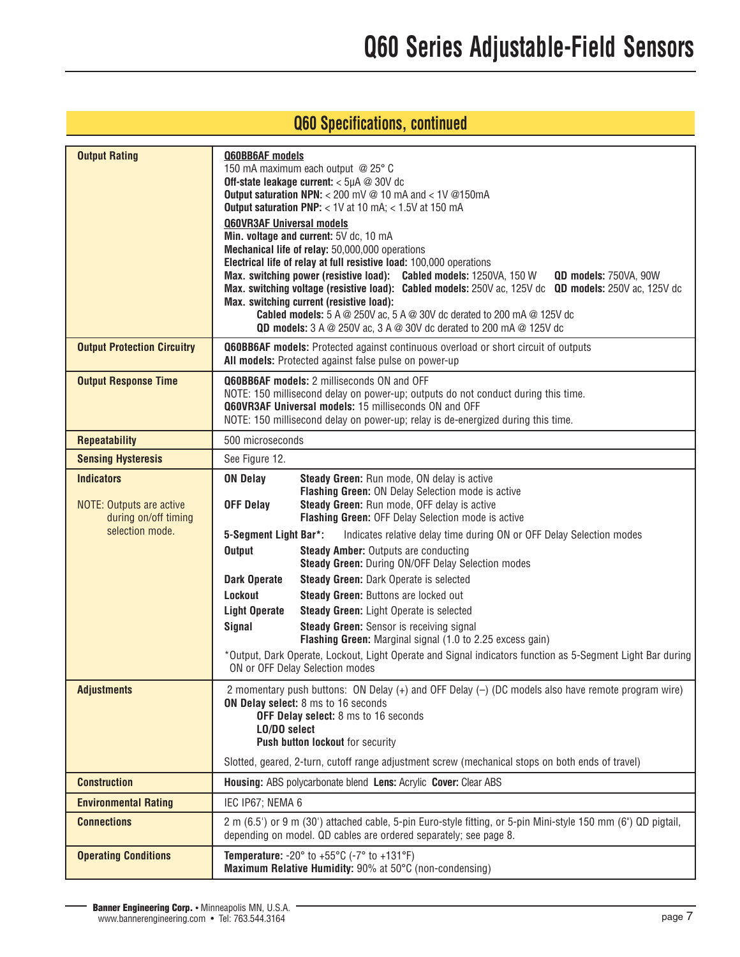## **Q60 Specifications, continued**

| <b>Output Rating</b>                                                                            | Q60BB6AF models<br>150 mA maximum each output @ 25° C<br>Off-state leakage current: < 5µA @ 30V dc<br>Output saturation NPN: < 200 mV @ 10 mA and < 1V @150mA<br>Output saturation PNP: < 1V at 10 mA; < 1.5V at 150 mA<br><b>Q60VR3AF Universal models</b><br>Min. voltage and current: 5V dc, 10 mA<br>Mechanical life of relay: 50,000,000 operations<br>Electrical life of relay at full resistive load: 100,000 operations<br>Max. switching power (resistive load): Cabled models: 1250VA, 150 W<br>QD models: 750VA, 90W<br>Max. switching voltage (resistive load): Cabled models: 250V ac, 125V dc QD models: 250V ac, 125V dc<br>Max. switching current (resistive load):<br><b>Cabled models:</b> $5 A @ 250V$ ac, $5 A @ 30V$ dc derated to 200 mA $@ 125V$ dc<br><b>QD models:</b> $3 A @ 250V$ ac, $3 A @ 30V$ dc derated to 200 mA $@ 125V$ dc                                                                                     |  |  |  |
|-------------------------------------------------------------------------------------------------|---------------------------------------------------------------------------------------------------------------------------------------------------------------------------------------------------------------------------------------------------------------------------------------------------------------------------------------------------------------------------------------------------------------------------------------------------------------------------------------------------------------------------------------------------------------------------------------------------------------------------------------------------------------------------------------------------------------------------------------------------------------------------------------------------------------------------------------------------------------------------------------------------------------------------------------------------|--|--|--|
| <b>Output Protection Circuitry</b>                                                              | <b>Q60BB6AF models:</b> Protected against continuous overload or short circuit of outputs<br>All models: Protected against false pulse on power-up                                                                                                                                                                                                                                                                                                                                                                                                                                                                                                                                                                                                                                                                                                                                                                                                |  |  |  |
| <b>Output Response Time</b>                                                                     | <b>Q60BB6AF models: 2 milliseconds ON and OFF</b><br>NOTE: 150 millisecond delay on power-up; outputs do not conduct during this time.<br>Q60VR3AF Universal models: 15 milliseconds ON and OFF<br>NOTE: 150 millisecond delay on power-up; relay is de-energized during this time.                                                                                                                                                                                                                                                                                                                                                                                                                                                                                                                                                                                                                                                               |  |  |  |
| <b>Repeatability</b>                                                                            | 500 microseconds                                                                                                                                                                                                                                                                                                                                                                                                                                                                                                                                                                                                                                                                                                                                                                                                                                                                                                                                  |  |  |  |
| <b>Sensing Hysteresis</b>                                                                       | See Figure 12.                                                                                                                                                                                                                                                                                                                                                                                                                                                                                                                                                                                                                                                                                                                                                                                                                                                                                                                                    |  |  |  |
| <b>Indicators</b><br><b>NOTE: Outputs are active</b><br>during on/off timing<br>selection mode. | <b>ON Delay</b><br>Steady Green: Run mode, ON delay is active<br>Flashing Green: ON Delay Selection mode is active<br>Steady Green: Run mode, OFF delay is active<br><b>OFF Delay</b><br>Flashing Green: OFF Delay Selection mode is active<br>5-Segment Light Bar*:<br>Indicates relative delay time during ON or OFF Delay Selection modes<br><b>Output</b><br><b>Steady Amber: Outputs are conducting</b><br>Steady Green: During ON/OFF Delay Selection modes<br><b>Dark Operate</b><br><b>Steady Green: Dark Operate is selected</b><br>Lockout<br>Steady Green: Buttons are locked out<br><b>Light Operate</b><br><b>Steady Green:</b> Light Operate is selected<br><b>Steady Green:</b> Sensor is receiving signal<br>Signal<br>Flashing Green: Marginal signal (1.0 to 2.25 excess gain)<br>*Output, Dark Operate, Lockout, Light Operate and Signal indicators function as 5-Segment Light Bar during<br>ON or OFF Delay Selection modes |  |  |  |
| <b>Adjustments</b>                                                                              | 2 momentary push buttons: ON Delay (+) and OFF Delay (-) (DC models also have remote program wire)<br>ON Delay select: 8 ms to 16 seconds<br>OFF Delay select: 8 ms to 16 seconds<br>LO/DO select<br>Push button lockout for security<br>Slotted, geared, 2-turn, cutoff range adjustment screw (mechanical stops on both ends of travel)                                                                                                                                                                                                                                                                                                                                                                                                                                                                                                                                                                                                         |  |  |  |
| <b>Construction</b>                                                                             | Housing: ABS polycarbonate blend Lens: Acrylic Cover: Clear ABS                                                                                                                                                                                                                                                                                                                                                                                                                                                                                                                                                                                                                                                                                                                                                                                                                                                                                   |  |  |  |
| <b>Environmental Rating</b>                                                                     | IEC IP67; NEMA 6                                                                                                                                                                                                                                                                                                                                                                                                                                                                                                                                                                                                                                                                                                                                                                                                                                                                                                                                  |  |  |  |
| <b>Connections</b>                                                                              | 2 m (6.5') or 9 m (30') attached cable, 5-pin Euro-style fitting, or 5-pin Mini-style 150 mm (6") QD pigtail,<br>depending on model. QD cables are ordered separately; see page 8.                                                                                                                                                                                                                                                                                                                                                                                                                                                                                                                                                                                                                                                                                                                                                                |  |  |  |
| <b>Operating Conditions</b>                                                                     | <b>Temperature:</b> -20 $^{\circ}$ to +55 $^{\circ}$ C (-7 $^{\circ}$ to +131 $^{\circ}$ F)<br>Maximum Relative Humidity: 90% at 50°C (non-condensing)                                                                                                                                                                                                                                                                                                                                                                                                                                                                                                                                                                                                                                                                                                                                                                                            |  |  |  |